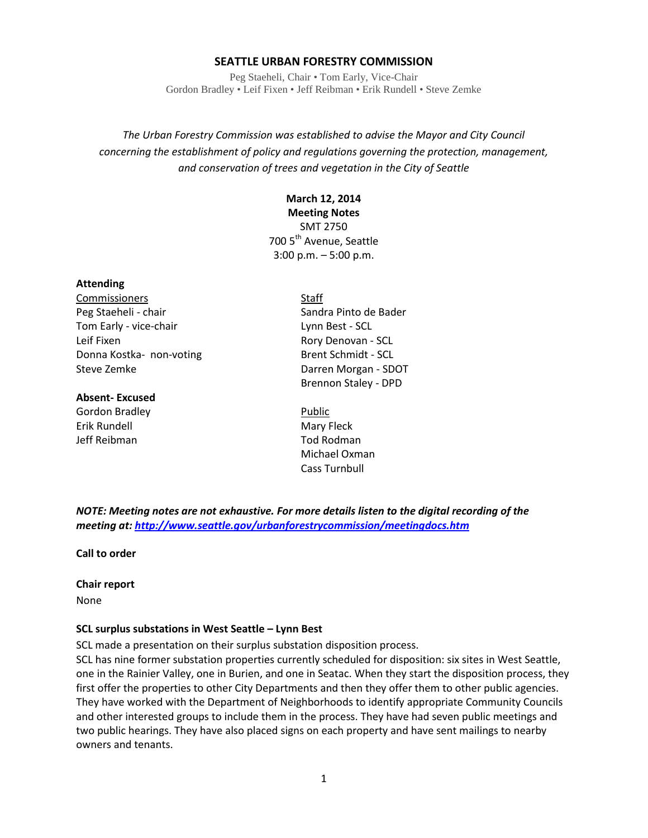#### **SEATTLE URBAN FORESTRY COMMISSION**

Peg Staeheli, Chair • Tom Early, Vice-Chair Gordon Bradley • Leif Fixen • Jeff Reibman • Erik Rundell • Steve Zemke

*The Urban Forestry Commission was established to advise the Mayor and City Council concerning the establishment of policy and regulations governing the protection, management, and conservation of trees and vegetation in the City of Seattle*

# **March 12, 2014**

**Meeting Notes**

SMT 2750 700 5<sup>th</sup> Avenue, Seattle 3:00 p.m. – 5:00 p.m.

#### **Attending**

Commissioners Staff Peg Staeheli - chair Sandra Pinto de Bader Tom Early - vice-chair Lynn Best - SCL Leif Fixen **Rory Denovan - SCL** Donna Kostka- non-voting Brent Schmidt - SCL

#### **Absent- Excused**

Gordon Bradley **Accordon Bradley** Public Erik Rundell **Mary Fleck** Jeff Reibman Tod Rodman

Steve Zemke **Darren Morgan** - SDOT Brennon Staley - DPD

> Michael Oxman Cass Turnbull

*NOTE: Meeting notes are not exhaustive. For more details listen to the digital recording of the meeting at[: http://www.seattle.gov/urbanforestrycommission/meetingdocs.htm](http://www.seattle.gov/urbanforestrycommission/meetingdocs.htm)*

**Call to order**

#### **Chair report**

None

#### **SCL surplus substations in West Seattle – Lynn Best**

SCL made a presentation on their surplus substation disposition process.

SCL has nine former substation properties currently scheduled for disposition: six sites in West Seattle, one in the Rainier Valley, one in Burien, and one in Seatac. When they start the disposition process, they first offer the properties to other City Departments and then they offer them to other public agencies. They have worked with the Department of Neighborhoods to identify appropriate Community Councils and other interested groups to include them in the process. They have had seven public meetings and two public hearings. They have also placed signs on each property and have sent mailings to nearby owners and tenants.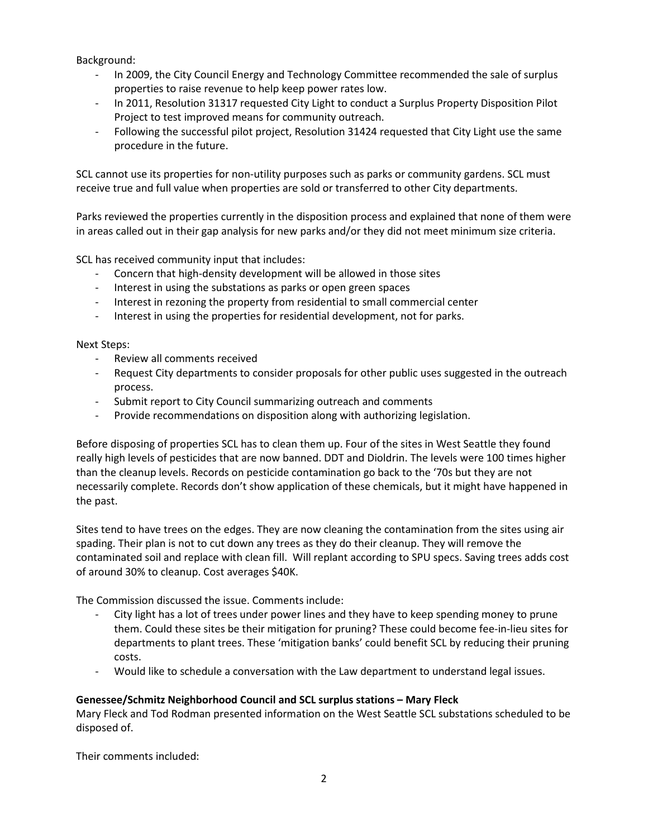Background:

- In 2009, the City Council Energy and Technology Committee recommended the sale of surplus properties to raise revenue to help keep power rates low.
- In 2011, Resolution 31317 requested City Light to conduct a Surplus Property Disposition Pilot Project to test improved means for community outreach.
- Following the successful pilot project, Resolution 31424 requested that City Light use the same procedure in the future.

SCL cannot use its properties for non-utility purposes such as parks or community gardens. SCL must receive true and full value when properties are sold or transferred to other City departments.

Parks reviewed the properties currently in the disposition process and explained that none of them were in areas called out in their gap analysis for new parks and/or they did not meet minimum size criteria.

SCL has received community input that includes:

- Concern that high-density development will be allowed in those sites
- Interest in using the substations as parks or open green spaces
- Interest in rezoning the property from residential to small commercial center
- Interest in using the properties for residential development, not for parks.

Next Steps:

- Review all comments received
- Request City departments to consider proposals for other public uses suggested in the outreach process.
- Submit report to City Council summarizing outreach and comments
- Provide recommendations on disposition along with authorizing legislation.

Before disposing of properties SCL has to clean them up. Four of the sites in West Seattle they found really high levels of pesticides that are now banned. DDT and Dioldrin. The levels were 100 times higher than the cleanup levels. Records on pesticide contamination go back to the '70s but they are not necessarily complete. Records don't show application of these chemicals, but it might have happened in the past.

Sites tend to have trees on the edges. They are now cleaning the contamination from the sites using air spading. Their plan is not to cut down any trees as they do their cleanup. They will remove the contaminated soil and replace with clean fill. Will replant according to SPU specs. Saving trees adds cost of around 30% to cleanup. Cost averages \$40K.

The Commission discussed the issue. Comments include:

- City light has a lot of trees under power lines and they have to keep spending money to prune them. Could these sites be their mitigation for pruning? These could become fee-in-lieu sites for departments to plant trees. These 'mitigation banks' could benefit SCL by reducing their pruning costs.
- Would like to schedule a conversation with the Law department to understand legal issues.

## **Genessee/Schmitz Neighborhood Council and SCL surplus stations – Mary Fleck**

Mary Fleck and Tod Rodman presented information on the West Seattle SCL substations scheduled to be disposed of.

Their comments included: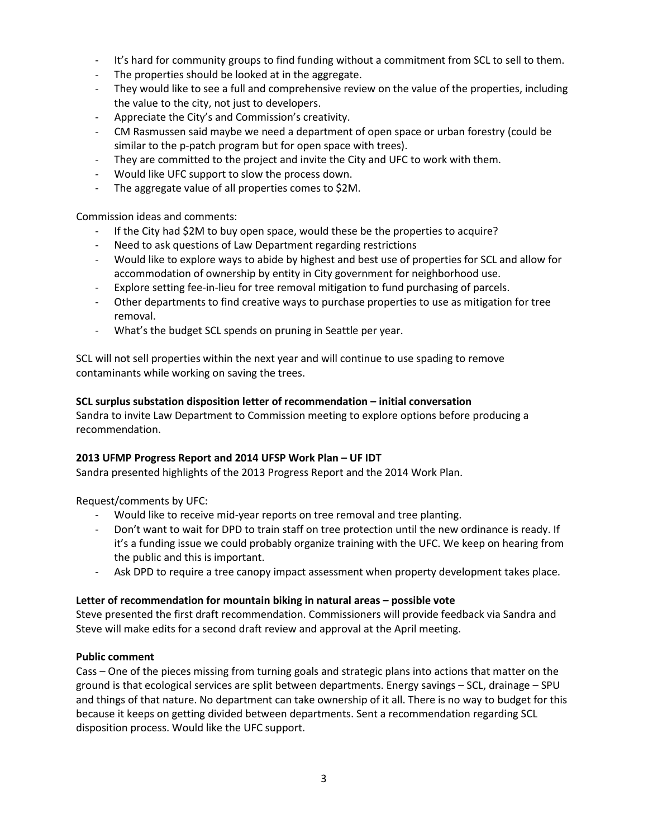- It's hard for community groups to find funding without a commitment from SCL to sell to them.
- The properties should be looked at in the aggregate.
- They would like to see a full and comprehensive review on the value of the properties, including the value to the city, not just to developers.
- Appreciate the City's and Commission's creativity.
- CM Rasmussen said maybe we need a department of open space or urban forestry (could be similar to the p-patch program but for open space with trees).
- They are committed to the project and invite the City and UFC to work with them.
- Would like UFC support to slow the process down.
- The aggregate value of all properties comes to \$2M.

Commission ideas and comments:

- If the City had \$2M to buy open space, would these be the properties to acquire?
- Need to ask questions of Law Department regarding restrictions
- Would like to explore ways to abide by highest and best use of properties for SCL and allow for accommodation of ownership by entity in City government for neighborhood use.
- Explore setting fee-in-lieu for tree removal mitigation to fund purchasing of parcels.
- Other departments to find creative ways to purchase properties to use as mitigation for tree removal.
- What's the budget SCL spends on pruning in Seattle per year.

SCL will not sell properties within the next year and will continue to use spading to remove contaminants while working on saving the trees.

## **SCL surplus substation disposition letter of recommendation – initial conversation**

Sandra to invite Law Department to Commission meeting to explore options before producing a recommendation.

## **2013 UFMP Progress Report and 2014 UFSP Work Plan – UF IDT**

Sandra presented highlights of the 2013 Progress Report and the 2014 Work Plan.

Request/comments by UFC:

- Would like to receive mid-year reports on tree removal and tree planting.
- Don't want to wait for DPD to train staff on tree protection until the new ordinance is ready. If it's a funding issue we could probably organize training with the UFC. We keep on hearing from the public and this is important.
- Ask DPD to require a tree canopy impact assessment when property development takes place.

## **Letter of recommendation for mountain biking in natural areas – possible vote**

Steve presented the first draft recommendation. Commissioners will provide feedback via Sandra and Steve will make edits for a second draft review and approval at the April meeting.

## **Public comment**

Cass – One of the pieces missing from turning goals and strategic plans into actions that matter on the ground is that ecological services are split between departments. Energy savings – SCL, drainage – SPU and things of that nature. No department can take ownership of it all. There is no way to budget for this because it keeps on getting divided between departments. Sent a recommendation regarding SCL disposition process. Would like the UFC support.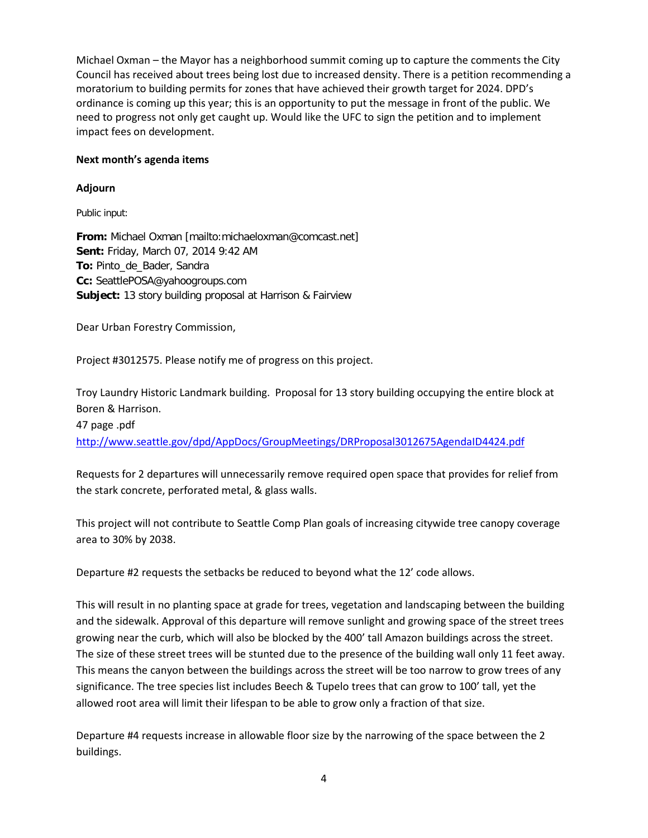Michael Oxman – the Mayor has a neighborhood summit coming up to capture the comments the City Council has received about trees being lost due to increased density. There is a petition recommending a moratorium to building permits for zones that have achieved their growth target for 2024. DPD's ordinance is coming up this year; this is an opportunity to put the message in front of the public. We need to progress not only get caught up. Would like the UFC to sign the petition and to implement impact fees on development.

## **Next month's agenda items**

# **Adjourn**

Public input:

**From:** Michael Oxman [mailto:michaeloxman@comcast.net] **Sent:** Friday, March 07, 2014 9:42 AM **To:** Pinto\_de\_Bader, Sandra **Cc:** SeattlePOSA@yahoogroups.com **Subject:** 13 story building proposal at Harrison & Fairview

Dear Urban Forestry Commission,

Project #3012575. Please notify me of progress on this project.

Troy Laundry Historic Landmark building. Proposal for 13 story building occupying the entire block at Boren & Harrison.

47 page .pdf <http://www.seattle.gov/dpd/AppDocs/GroupMeetings/DRProposal3012675AgendaID4424.pdf>

Requests for 2 departures will unnecessarily remove required open space that provides for relief from the stark concrete, perforated metal, & glass walls.

This project will not contribute to Seattle Comp Plan goals of increasing citywide tree canopy coverage area to 30% by 2038.

Departure #2 requests the setbacks be reduced to beyond what the 12' code allows.

This will result in no planting space at grade for trees, vegetation and landscaping between the building and the sidewalk. Approval of this departure will remove sunlight and growing space of the street trees growing near the curb, which will also be blocked by the 400' tall Amazon buildings across the street. The size of these street trees will be stunted due to the presence of the building wall only 11 feet away. This means the canyon between the buildings across the street will be too narrow to grow trees of any significance. The tree species list includes Beech & Tupelo trees that can grow to 100' tall, yet the allowed root area will limit their lifespan to be able to grow only a fraction of that size.

Departure #4 requests increase in allowable floor size by the narrowing of the space between the 2 buildings.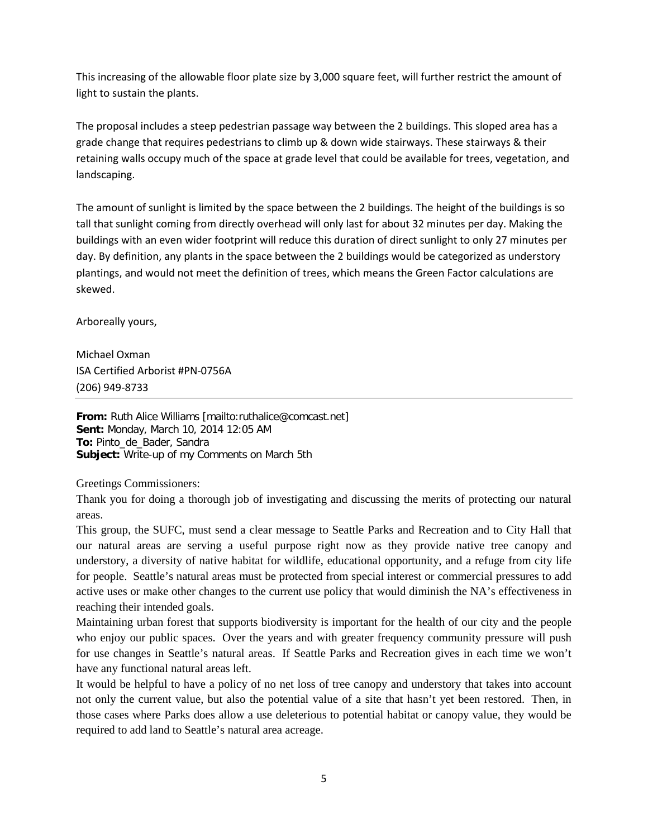This increasing of the allowable floor plate size by 3,000 square feet, will further restrict the amount of light to sustain the plants.

The proposal includes a steep pedestrian passage way between the 2 buildings. This sloped area has a grade change that requires pedestrians to climb up & down wide stairways. These stairways & their retaining walls occupy much of the space at grade level that could be available for trees, vegetation, and landscaping.

The amount of sunlight is limited by the space between the 2 buildings. The height of the buildings is so tall that sunlight coming from directly overhead will only last for about 32 minutes per day. Making the buildings with an even wider footprint will reduce this duration of direct sunlight to only 27 minutes per day. By definition, any plants in the space between the 2 buildings would be categorized as understory plantings, and would not meet the definition of trees, which means the Green Factor calculations are skewed.

Arboreally yours,

Michael Oxman ISA Certified Arborist #PN-0756A (206) 949-8733

**From:** Ruth Alice Williams [mailto:ruthalice@comcast.net] **Sent:** Monday, March 10, 2014 12:05 AM **To:** Pinto\_de\_Bader, Sandra **Subject:** Write-up of my Comments on March 5th

Greetings Commissioners:

Thank you for doing a thorough job of investigating and discussing the merits of protecting our natural areas.

This group, the SUFC, must send a clear message to Seattle Parks and Recreation and to City Hall that our natural areas are serving a useful purpose right now as they provide native tree canopy and understory, a diversity of native habitat for wildlife, educational opportunity, and a refuge from city life for people. Seattle's natural areas must be protected from special interest or commercial pressures to add active uses or make other changes to the current use policy that would diminish the NA's effectiveness in reaching their intended goals.

Maintaining urban forest that supports biodiversity is important for the health of our city and the people who enjoy our public spaces. Over the years and with greater frequency community pressure will push for use changes in Seattle's natural areas. If Seattle Parks and Recreation gives in each time we won't have any functional natural areas left.

It would be helpful to have a policy of no net loss of tree canopy and understory that takes into account not only the current value, but also the potential value of a site that hasn't yet been restored. Then, in those cases where Parks does allow a use deleterious to potential habitat or canopy value, they would be required to add land to Seattle's natural area acreage.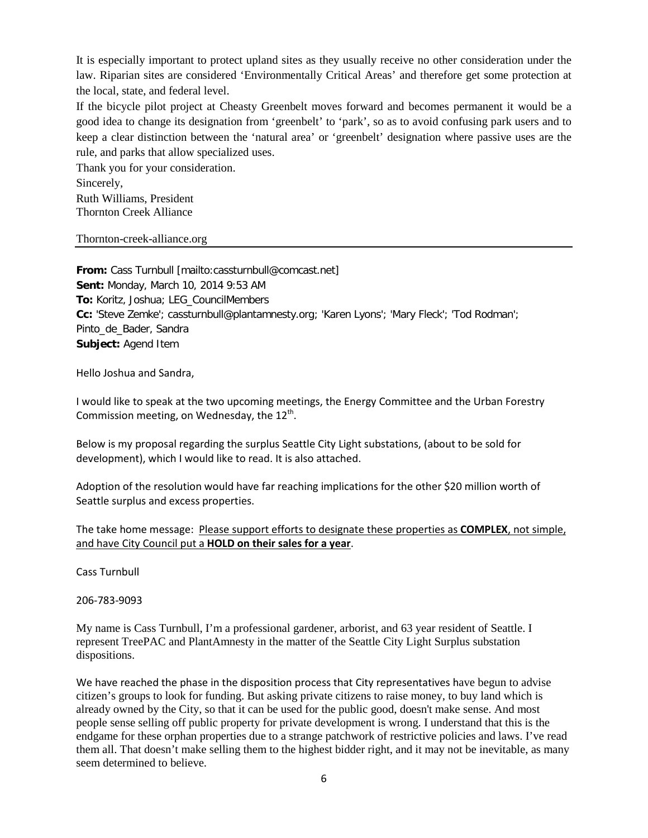It is especially important to protect upland sites as they usually receive no other consideration under the law. Riparian sites are considered 'Environmentally Critical Areas' and therefore get some protection at the local, state, and federal level.

If the bicycle pilot project at Cheasty Greenbelt moves forward and becomes permanent it would be a good idea to change its designation from 'greenbelt' to 'park', so as to avoid confusing park users and to keep a clear distinction between the 'natural area' or 'greenbelt' designation where passive uses are the rule, and parks that allow specialized uses.

Thank you for your consideration. Sincerely, Ruth Williams, President Thornton Creek Alliance

Thornton-creek-alliance.org

**From:** Cass Turnbull [mailto:cassturnbull@comcast.net] **Sent:** Monday, March 10, 2014 9:53 AM **To:** Koritz, Joshua; LEG\_CouncilMembers **Cc:** 'Steve Zemke'; cassturnbull@plantamnesty.org; 'Karen Lyons'; 'Mary Fleck'; 'Tod Rodman'; Pinto\_de\_Bader, Sandra **Subject:** Agend Item

Hello Joshua and Sandra,

I would like to speak at the two upcoming meetings, the Energy Committee and the Urban Forestry Commission meeting, on Wednesday, the  $12^{th}$ .

Below is my proposal regarding the surplus Seattle City Light substations, (about to be sold for development), which I would like to read. It is also attached.

Adoption of the resolution would have far reaching implications for the other \$20 million worth of Seattle surplus and excess properties.

The take home message: Please support efforts to designate these properties as **COMPLEX**, not simple, and have City Council put a **HOLD on their sales for a year**.

Cass Turnbull

206-783-9093

My name is Cass Turnbull, I'm a professional gardener, arborist, and 63 year resident of Seattle. I represent TreePAC and PlantAmnesty in the matter of the Seattle City Light Surplus substation dispositions.

We have reached the phase in the disposition process that City representatives have begun to advise citizen's groups to look for funding. But asking private citizens to raise money, to buy land which is already owned by the City, so that it can be used for the public good, doesn't make sense. And most people sense selling off public property for private development is wrong. I understand that this is the endgame for these orphan properties due to a strange patchwork of restrictive policies and laws. I've read them all. That doesn't make selling them to the highest bidder right, and it may not be inevitable, as many seem determined to believe.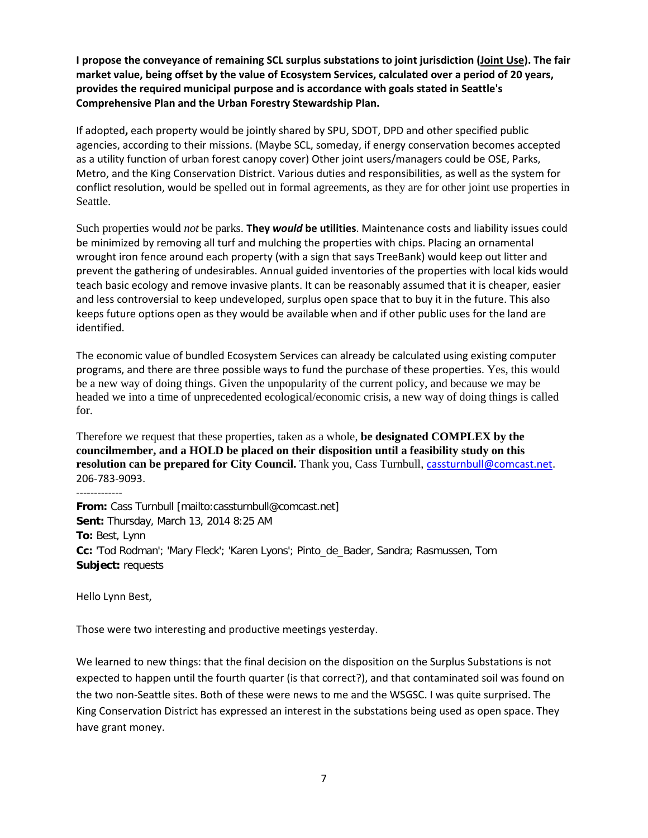**I propose the conveyance of remaining SCL surplus substations to joint jurisdiction (Joint Use). The fair market value, being offset by the value of Ecosystem Services, calculated over a period of 20 years, provides the required municipal purpose and is accordance with goals stated in Seattle's Comprehensive Plan and the Urban Forestry Stewardship Plan.**

If adopted**,** each property would be jointly shared by SPU, SDOT, DPD and other specified public agencies, according to their missions. (Maybe SCL, someday, if energy conservation becomes accepted as a utility function of urban forest canopy cover) Other joint users/managers could be OSE, Parks, Metro, and the King Conservation District. Various duties and responsibilities, as well as the system for conflict resolution, would be spelled out in formal agreements, as they are for other joint use properties in Seattle.

Such properties would *not* be parks. **They** *would* **be utilities**. Maintenance costs and liability issues could be minimized by removing all turf and mulching the properties with chips. Placing an ornamental wrought iron fence around each property (with a sign that says TreeBank) would keep out litter and prevent the gathering of undesirables. Annual guided inventories of the properties with local kids would teach basic ecology and remove invasive plants. It can be reasonably assumed that it is cheaper, easier and less controversial to keep undeveloped, surplus open space that to buy it in the future. This also keeps future options open as they would be available when and if other public uses for the land are identified.

The economic value of bundled Ecosystem Services can already be calculated using existing computer programs, and there are three possible ways to fund the purchase of these properties. Yes, this would be a new way of doing things. Given the unpopularity of the current policy, and because we may be headed we into a time of unprecedented ecological/economic crisis, a new way of doing things is called for.

Therefore we request that these properties, taken as a whole, **be designated COMPLEX by the councilmember, and a HOLD be placed on their disposition until a feasibility study on this resolution can be prepared for City Council.** Thank you, Cass Turnbull, [cassturnbull@comcast.net.](mailto:cassturnbull@comcast.net) 206-783-9093.

-------------

**From:** Cass Turnbull [mailto:cassturnbull@comcast.net] **Sent:** Thursday, March 13, 2014 8:25 AM **To:** Best, Lynn **Cc:** 'Tod Rodman'; 'Mary Fleck'; 'Karen Lyons'; Pinto\_de\_Bader, Sandra; Rasmussen, Tom **Subject:** requests

Hello Lynn Best,

Those were two interesting and productive meetings yesterday.

We learned to new things: that the final decision on the disposition on the Surplus Substations is not expected to happen until the fourth quarter (is that correct?), and that contaminated soil was found on the two non-Seattle sites. Both of these were news to me and the WSGSC. I was quite surprised. The King Conservation District has expressed an interest in the substations being used as open space. They have grant money.